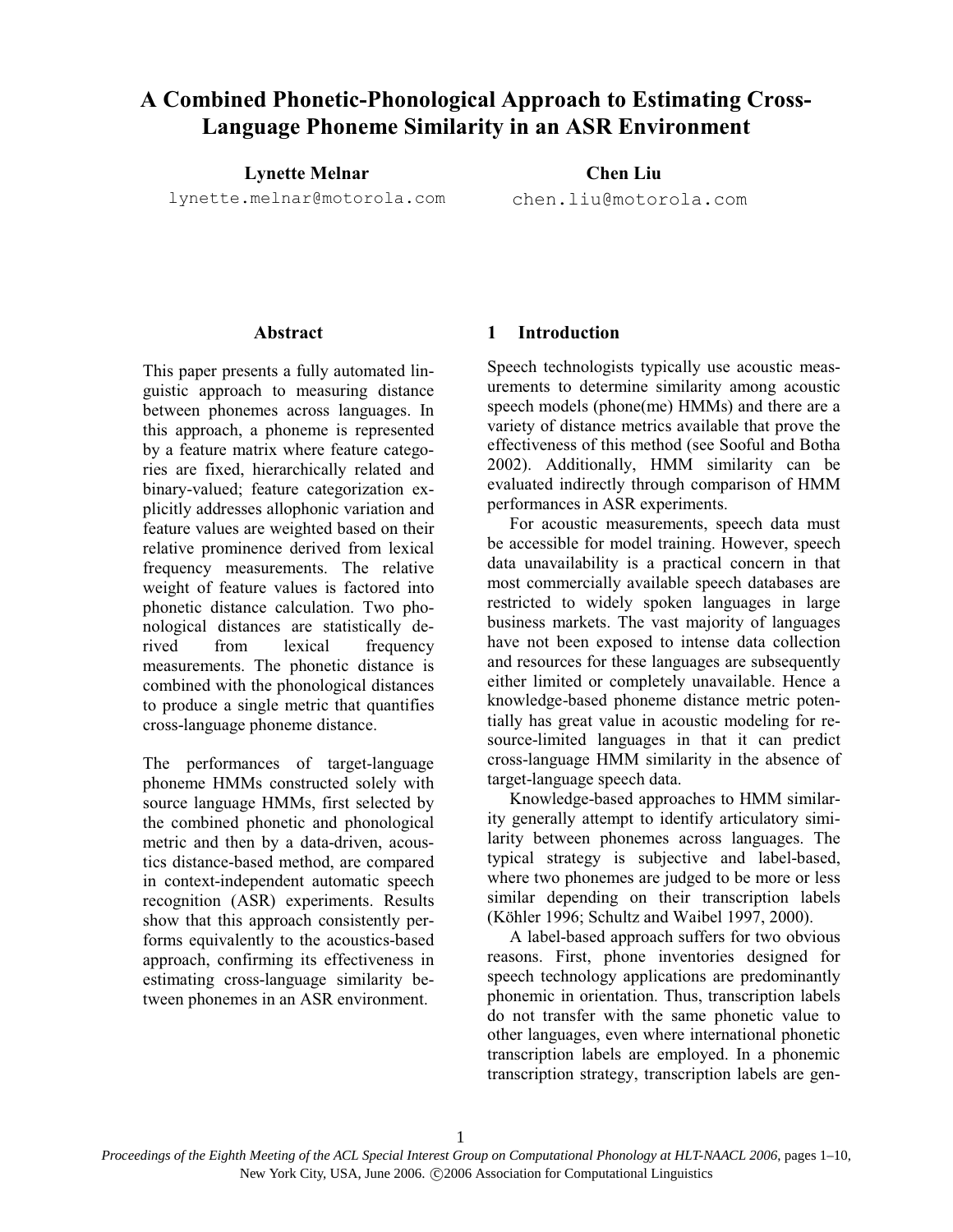# A Combined Phonetic-Phonological Approach to Estimating Cross-Language Phoneme Similarity in an ASR Environment

Lynette Melnar

lynette.melnar@motorola.com

Chen Liu

chen.liu@motorola.com

## Abstract

This paper presents a fully automated linguistic approach to measuring distance between phonemes across languages. In this approach, a phoneme is represented by a feature matrix where feature categories are fixed, hierarchically related and binary-valued; feature categorization explicitly addresses allophonic variation and feature values are weighted based on their relative prominence derived from lexical frequency measurements. The relative weight of feature values is factored into phonetic distance calculation. Two phonological distances are statistically derived from lexical frequency measurements. The phonetic distance is combined with the phonological distances to produce a single metric that quantifies cross-language phoneme distance.

The performances of target-language phoneme HMMs constructed solely with source language HMMs, first selected by the combined phonetic and phonological metric and then by a data-driven, acoustics distance-based method, are compared in context-independent automatic speech recognition (ASR) experiments. Results show that this approach consistently performs equivalently to the acoustics-based approach, confirming its effectiveness in estimating cross-language similarity between phonemes in an ASR environment.

# 1 Introduction

Speech technologists typically use acoustic measurements to determine similarity among acoustic speech models (phone(me) HMMs) and there are a variety of distance metrics available that prove the effectiveness of this method (see Sooful and Botha 2002). Additionally, HMM similarity can be evaluated indirectly through comparison of HMM performances in ASR experiments.

For acoustic measurements, speech data must be accessible for model training. However, speech data unavailability is a practical concern in that most commercially available speech databases are restricted to widely spoken languages in large business markets. The vast majority of languages have not been exposed to intense data collection and resources for these languages are subsequently either limited or completely unavailable. Hence a knowledge-based phoneme distance metric potentially has great value in acoustic modeling for resource-limited languages in that it can predict cross-language HMM similarity in the absence of target-language speech data.

Knowledge-based approaches to HMM similarity generally attempt to identify articulatory similarity between phonemes across languages. The typical strategy is subjective and label-based, where two phonemes are judged to be more or less similar depending on their transcription labels (Köhler 1996; Schultz and Waibel 1997, 2000).

A label-based approach suffers for two obvious reasons. First, phone inventories designed for speech technology applications are predominantly phonemic in orientation. Thus, transcription labels do not transfer with the same phonetic value to other languages, even where international phonetic transcription labels are employed. In a phonemic transcription strategy, transcription labels are gen-

1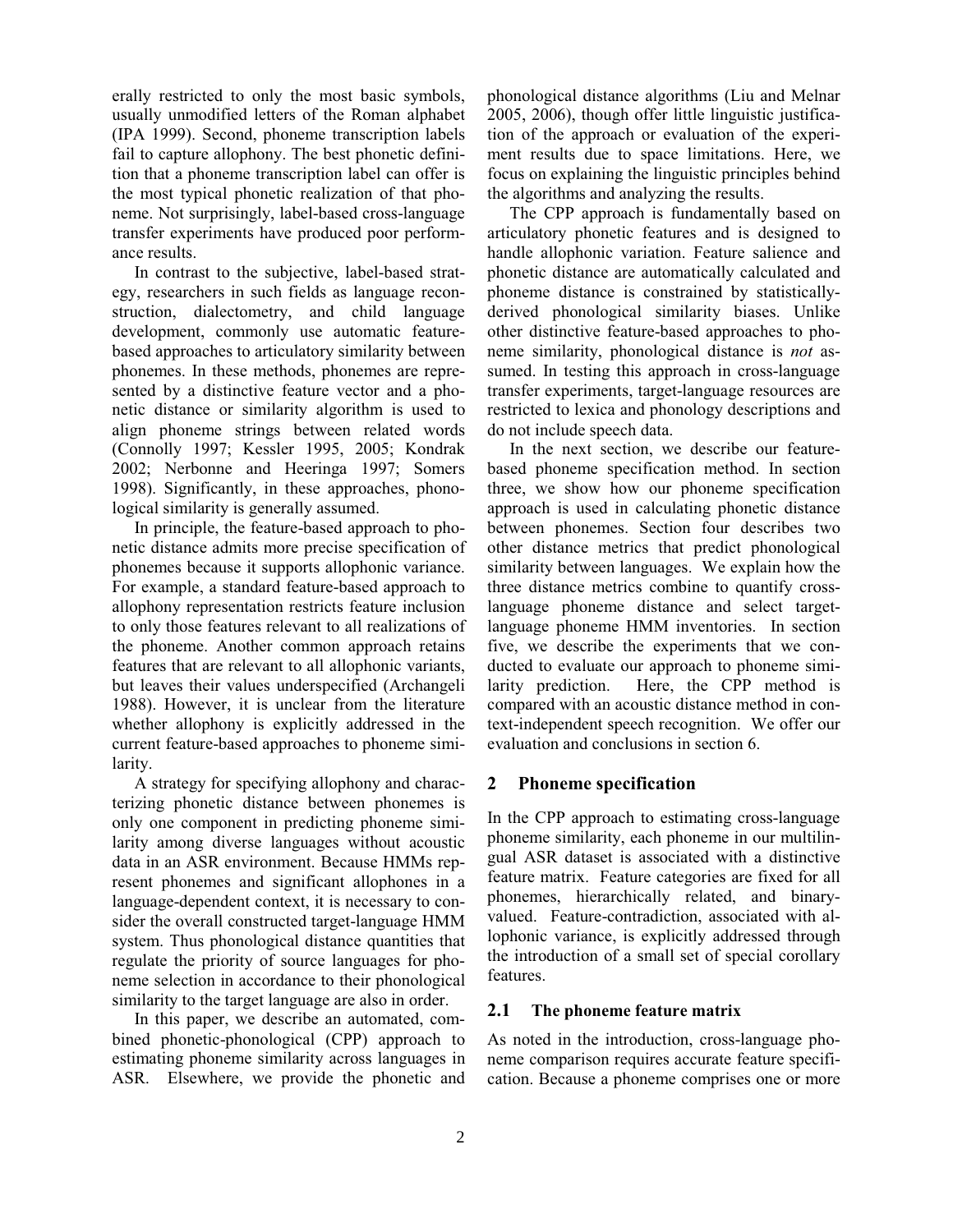erally restricted to only the most basic symbols, usually unmodified letters of the Roman alphabet (IPA 1999). Second, phoneme transcription labels fail to capture allophony. The best phonetic definition that a phoneme transcription label can offer is the most typical phonetic realization of that phoneme. Not surprisingly, label-based cross-language transfer experiments have produced poor performance results.

In contrast to the subjective, label-based strategy, researchers in such fields as language reconstruction, dialectometry, and child language development, commonly use automatic featurebased approaches to articulatory similarity between phonemes. In these methods, phonemes are represented by a distinctive feature vector and a phonetic distance or similarity algorithm is used to align phoneme strings between related words (Connolly 1997; Kessler 1995, 2005; Kondrak 2002; Nerbonne and Heeringa 1997; Somers 1998). Significantly, in these approaches, phonological similarity is generally assumed.

In principle, the feature-based approach to phonetic distance admits more precise specification of phonemes because it supports allophonic variance. For example, a standard feature-based approach to allophony representation restricts feature inclusion to only those features relevant to all realizations of the phoneme. Another common approach retains features that are relevant to all allophonic variants, but leaves their values underspecified (Archangeli 1988). However, it is unclear from the literature whether allophony is explicitly addressed in the current feature-based approaches to phoneme similarity.

A strategy for specifying allophony and characterizing phonetic distance between phonemes is only one component in predicting phoneme similarity among diverse languages without acoustic data in an ASR environment. Because HMMs represent phonemes and significant allophones in a language-dependent context, it is necessary to consider the overall constructed target-language HMM system. Thus phonological distance quantities that regulate the priority of source languages for phoneme selection in accordance to their phonological similarity to the target language are also in order.

In this paper, we describe an automated, combined phonetic-phonological (CPP) approach to estimating phoneme similarity across languages in ASR. Elsewhere, we provide the phonetic and phonological distance algorithms (Liu and Melnar 2005, 2006), though offer little linguistic justification of the approach or evaluation of the experiment results due to space limitations. Here, we focus on explaining the linguistic principles behind the algorithms and analyzing the results.

The CPP approach is fundamentally based on articulatory phonetic features and is designed to handle allophonic variation. Feature salience and phonetic distance are automatically calculated and phoneme distance is constrained by statisticallyderived phonological similarity biases. Unlike other distinctive feature-based approaches to phoneme similarity, phonological distance is not assumed. In testing this approach in cross-language transfer experiments, target-language resources are restricted to lexica and phonology descriptions and do not include speech data.

In the next section, we describe our featurebased phoneme specification method. In section three, we show how our phoneme specification approach is used in calculating phonetic distance between phonemes. Section four describes two other distance metrics that predict phonological similarity between languages. We explain how the three distance metrics combine to quantify crosslanguage phoneme distance and select targetlanguage phoneme HMM inventories. In section five, we describe the experiments that we conducted to evaluate our approach to phoneme similarity prediction. Here, the CPP method is compared with an acoustic distance method in context-independent speech recognition. We offer our evaluation and conclusions in section 6.

# 2 Phoneme specification

In the CPP approach to estimating cross-language phoneme similarity, each phoneme in our multilingual ASR dataset is associated with a distinctive feature matrix. Feature categories are fixed for all phonemes, hierarchically related, and binaryvalued. Feature-contradiction, associated with allophonic variance, is explicitly addressed through the introduction of a small set of special corollary features.

## 2.1 The phoneme feature matrix

As noted in the introduction, cross-language phoneme comparison requires accurate feature specification. Because a phoneme comprises one or more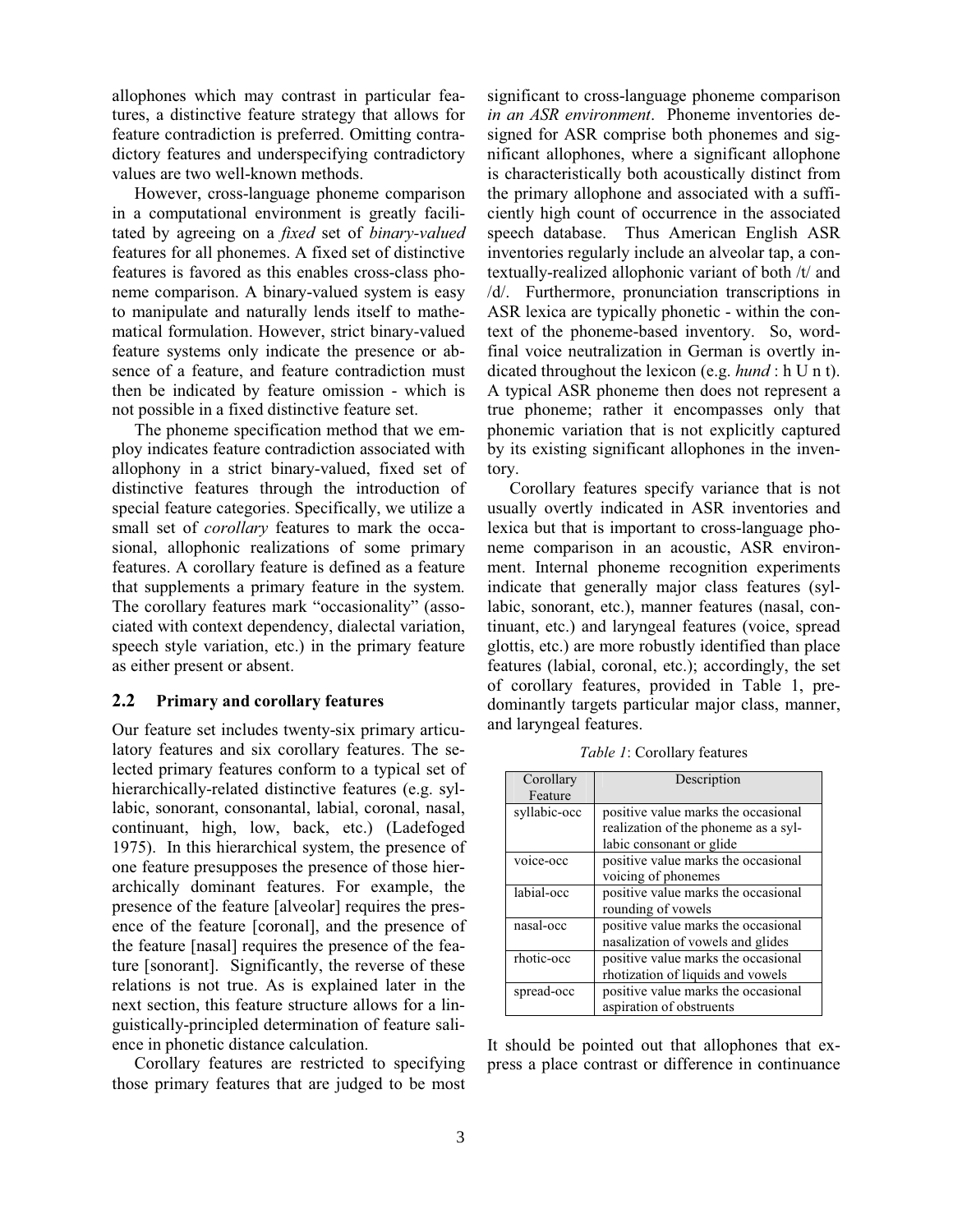allophones which may contrast in particular features, a distinctive feature strategy that allows for feature contradiction is preferred. Omitting contradictory features and underspecifying contradictory values are two well-known methods.

However, cross-language phoneme comparison in a computational environment is greatly facilitated by agreeing on a fixed set of binary-valued features for all phonemes. A fixed set of distinctive features is favored as this enables cross-class phoneme comparison. A binary-valued system is easy to manipulate and naturally lends itself to mathematical formulation. However, strict binary-valued feature systems only indicate the presence or absence of a feature, and feature contradiction must then be indicated by feature omission - which is not possible in a fixed distinctive feature set.

The phoneme specification method that we employ indicates feature contradiction associated with allophony in a strict binary-valued, fixed set of distinctive features through the introduction of special feature categories. Specifically, we utilize a small set of corollary features to mark the occasional, allophonic realizations of some primary features. A corollary feature is defined as a feature that supplements a primary feature in the system. The corollary features mark "occasionality" (associated with context dependency, dialectal variation, speech style variation, etc.) in the primary feature as either present or absent.

#### 2.2 Primary and corollary features

Our feature set includes twenty-six primary articulatory features and six corollary features. The selected primary features conform to a typical set of hierarchically-related distinctive features (e.g. syllabic, sonorant, consonantal, labial, coronal, nasal, continuant, high, low, back, etc.) (Ladefoged 1975). In this hierarchical system, the presence of one feature presupposes the presence of those hierarchically dominant features. For example, the presence of the feature [alveolar] requires the presence of the feature [coronal], and the presence of the feature [nasal] requires the presence of the feature [sonorant]. Significantly, the reverse of these relations is not true. As is explained later in the next section, this feature structure allows for a linguistically-principled determination of feature salience in phonetic distance calculation.

Corollary features are restricted to specifying those primary features that are judged to be most significant to cross-language phoneme comparison in an ASR environment. Phoneme inventories designed for ASR comprise both phonemes and significant allophones, where a significant allophone is characteristically both acoustically distinct from the primary allophone and associated with a sufficiently high count of occurrence in the associated speech database. Thus American English ASR inventories regularly include an alveolar tap, a contextually-realized allophonic variant of both /t/ and /d/. Furthermore, pronunciation transcriptions in ASR lexica are typically phonetic - within the context of the phoneme-based inventory. So, wordfinal voice neutralization in German is overtly indicated throughout the lexicon (e.g. hund : h U n t). A typical ASR phoneme then does not represent a true phoneme; rather it encompasses only that phonemic variation that is not explicitly captured by its existing significant allophones in the inventory.

Corollary features specify variance that is not usually overtly indicated in ASR inventories and lexica but that is important to cross-language phoneme comparison in an acoustic, ASR environment. Internal phoneme recognition experiments indicate that generally major class features (syllabic, sonorant, etc.), manner features (nasal, continuant, etc.) and laryngeal features (voice, spread glottis, etc.) are more robustly identified than place features (labial, coronal, etc.); accordingly, the set of corollary features, provided in Table 1, predominantly targets particular major class, manner, and laryngeal features.

| Corollary    | Description                          |
|--------------|--------------------------------------|
| Feature      |                                      |
| syllabic-occ | positive value marks the occasional  |
|              | realization of the phoneme as a syl- |
|              | labic consonant or glide             |
| voice-occ    | positive value marks the occasional  |
|              | voicing of phonemes                  |
| labial-occ   | positive value marks the occasional  |
|              | rounding of vowels                   |
| nasal-occ    | positive value marks the occasional  |
|              | nasalization of vowels and glides    |
| rhotic-occ   | positive value marks the occasional  |
|              | rhotization of liquids and vowels    |
| spread-occ   | positive value marks the occasional  |
|              | aspiration of obstruents             |

Table 1: Corollary features

It should be pointed out that allophones that express a place contrast or difference in continuance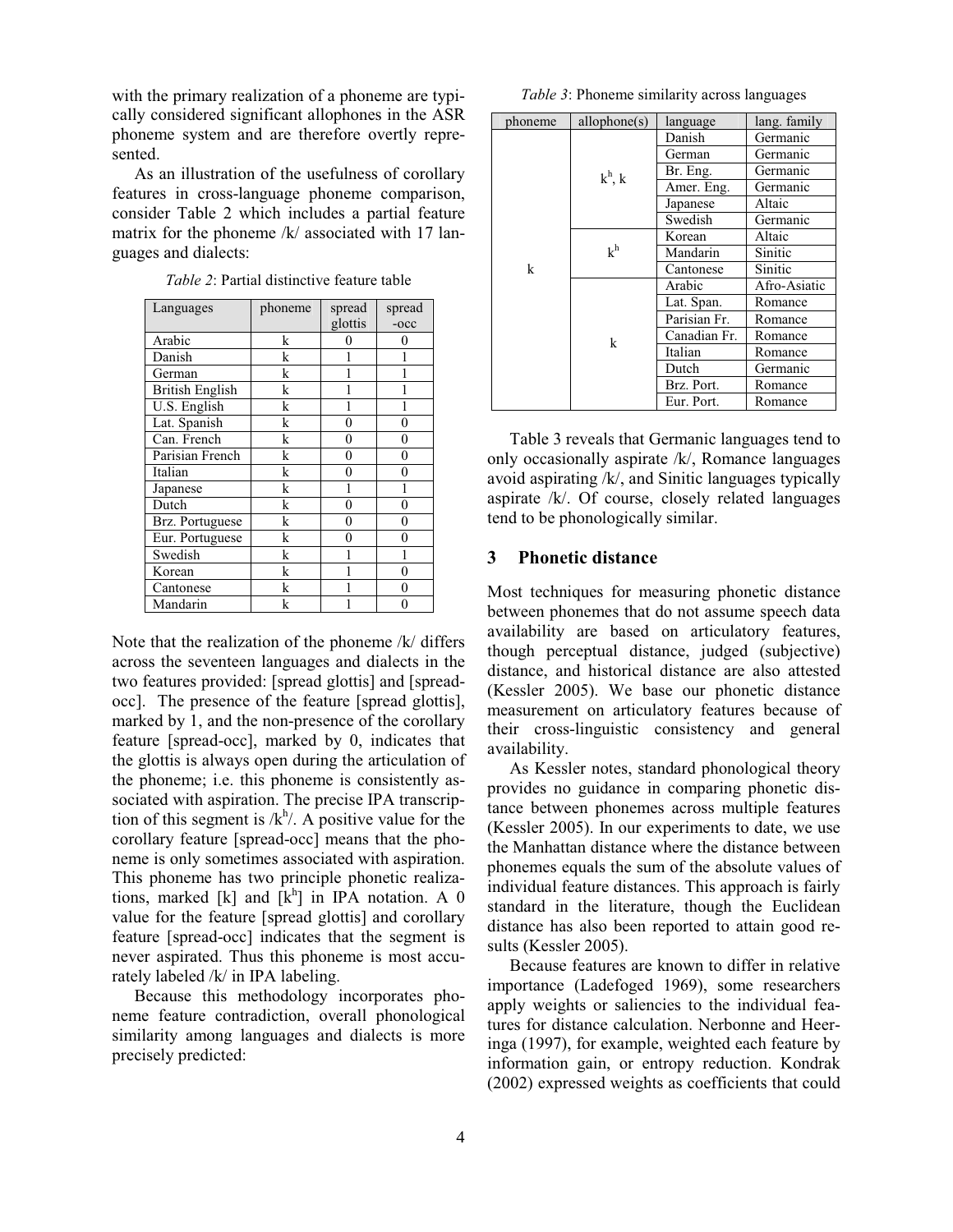with the primary realization of a phoneme are typically considered significant allophones in the ASR phoneme system and are therefore overtly represented.

As an illustration of the usefulness of corollary features in cross-language phoneme comparison, consider Table 2 which includes a partial feature matrix for the phoneme /k/ associated with 17 languages and dialects:

| Languages              | phoneme | spread         | spread         |
|------------------------|---------|----------------|----------------|
|                        |         | glottis        | $-occ$         |
| Arabic                 | k       | 0              | 0              |
| Danish                 | k       | 1              |                |
| German                 | k       | 1              |                |
| <b>British English</b> | k       | 1              |                |
| U.S. English           | k       | 1              |                |
| Lat. Spanish           | k       | 0              | 0              |
| Can. French            | k       | 0              | $\theta$       |
| Parisian French        | k       | 0              | $\theta$       |
| Italian                | k       | 0              | 0              |
| Japanese               | k       | 1              | 1              |
| Dutch                  | k       | $\overline{0}$ | $\theta$       |
| Brz. Portuguese        | k       | 0              | $\overline{0}$ |
| Eur. Portuguese        | k       | $\overline{0}$ | $\overline{0}$ |
| Swedish                | k       | 1              |                |
| Korean                 | k       | 1              | 0              |
| Cantonese              | k       | 1              | $\theta$       |
| Mandarin               | k       | 1              | 0              |

Table 2: Partial distinctive feature table

Note that the realization of the phoneme /k/ differs across the seventeen languages and dialects in the two features provided: [spread glottis] and [spreadocc]. The presence of the feature [spread glottis], marked by 1, and the non-presence of the corollary feature [spread-occ], marked by 0, indicates that the glottis is always open during the articulation of the phoneme; i.e. this phoneme is consistently associated with aspiration. The precise IPA transcription of this segment is  $/k<sup>h</sup>/$ . A positive value for the corollary feature [spread-occ] means that the phoneme is only sometimes associated with aspiration. This phoneme has two principle phonetic realizations, marked [k] and  $[k]$  in IPA notation. A 0 value for the feature [spread glottis] and corollary feature [spread-occ] indicates that the segment is never aspirated. Thus this phoneme is most accurately labeled /k/ in IPA labeling.

Because this methodology incorporates phoneme feature contradiction, overall phonological similarity among languages and dialects is more precisely predicted:

Table 3: Phoneme similarity across languages

| phoneme | allowhome(s)   | language     | lang. family |
|---------|----------------|--------------|--------------|
|         | $k^h$ , k      | Danish       | Germanic     |
|         |                | German       | Germanic     |
|         |                | Br. Eng.     | Germanic     |
|         |                | Amer. Eng.   | Germanic     |
|         |                | Japanese     | Altaic       |
|         |                | Swedish      | Germanic     |
|         | k <sup>h</sup> | Korean       | Altaic       |
| k       |                | Mandarin     | Sinitic      |
|         |                | Cantonese    | Sinitic      |
|         | k              | Arabic       | Afro-Asiatic |
|         |                | Lat. Span.   | Romance      |
|         |                | Parisian Fr. | Romance      |
|         |                | Canadian Fr. | Romance      |
|         |                | Italian      | Romance      |
|         |                | Dutch        | Germanic     |
|         |                | Brz. Port.   | Romance      |
|         |                | Eur. Port.   | Romance      |

Table 3 reveals that Germanic languages tend to only occasionally aspirate /k/, Romance languages avoid aspirating /k/, and Sinitic languages typically aspirate /k/. Of course, closely related languages tend to be phonologically similar.

#### 3 Phonetic distance

Most techniques for measuring phonetic distance between phonemes that do not assume speech data availability are based on articulatory features, though perceptual distance, judged (subjective) distance, and historical distance are also attested (Kessler 2005). We base our phonetic distance measurement on articulatory features because of their cross-linguistic consistency and general availability.

As Kessler notes, standard phonological theory provides no guidance in comparing phonetic distance between phonemes across multiple features (Kessler 2005). In our experiments to date, we use the Manhattan distance where the distance between phonemes equals the sum of the absolute values of individual feature distances. This approach is fairly standard in the literature, though the Euclidean distance has also been reported to attain good results (Kessler 2005).

Because features are known to differ in relative importance (Ladefoged 1969), some researchers apply weights or saliencies to the individual features for distance calculation. Nerbonne and Heeringa (1997), for example, weighted each feature by information gain, or entropy reduction. Kondrak (2002) expressed weights as coefficients that could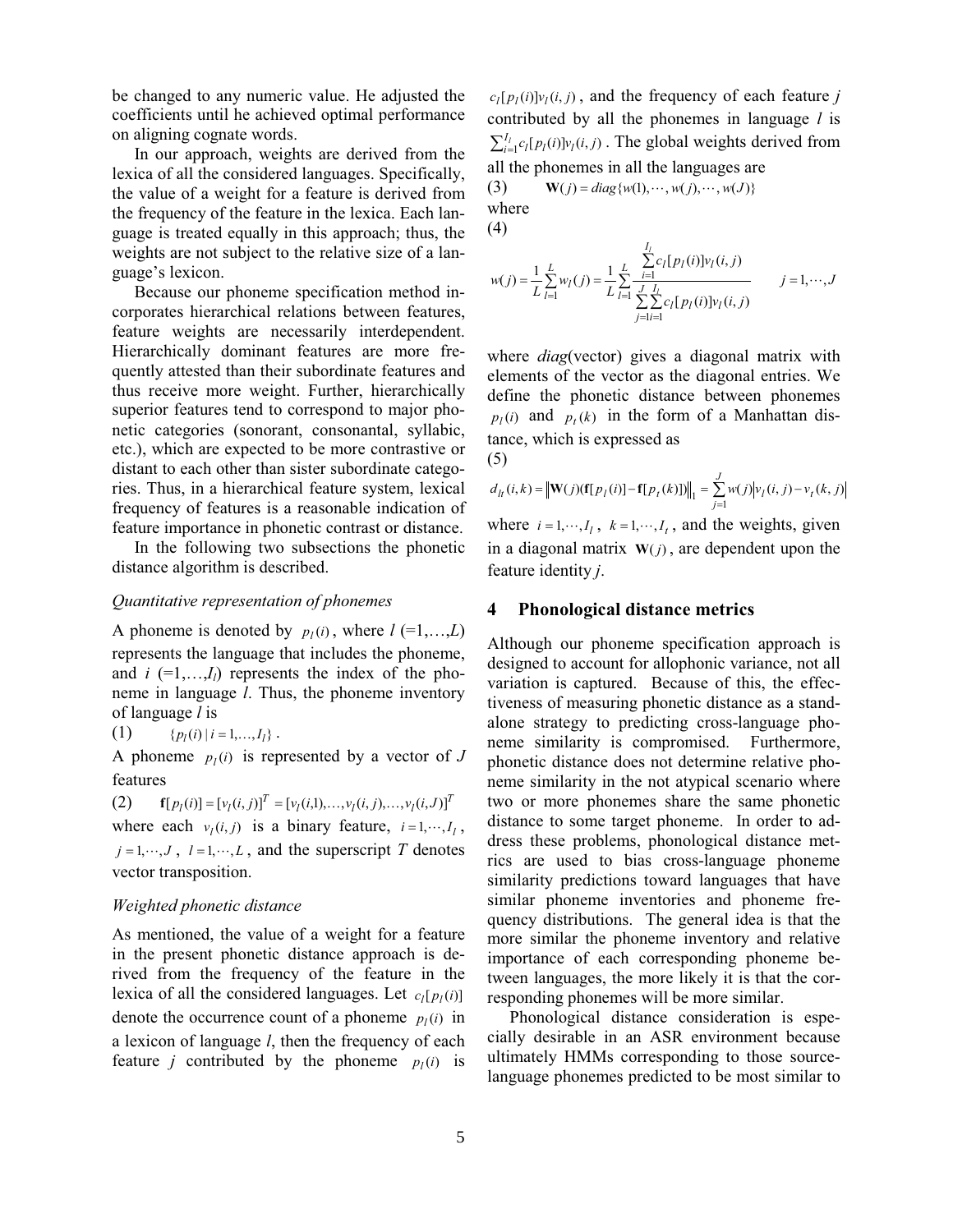be changed to any numeric value. He adjusted the coefficients until he achieved optimal performance on aligning cognate words.

In our approach, weights are derived from the lexica of all the considered languages. Specifically, the value of a weight for a feature is derived from the frequency of the feature in the lexica. Each language is treated equally in this approach; thus, the weights are not subject to the relative size of a language's lexicon.

Because our phoneme specification method incorporates hierarchical relations between features, feature weights are necessarily interdependent. Hierarchically dominant features are more frequently attested than their subordinate features and thus receive more weight. Further, hierarchically superior features tend to correspond to major phonetic categories (sonorant, consonantal, syllabic, etc.), which are expected to be more contrastive or distant to each other than sister subordinate categories. Thus, in a hierarchical feature system, lexical frequency of features is a reasonable indication of feature importance in phonetic contrast or distance.

In the following two subsections the phonetic distance algorithm is described.

# Quantitative representation of phonemes

A phoneme is denoted by  $p_l(i)$ , where  $l (=1,...,L)$ represents the language that includes the phoneme, and  $i = 1,...,I<sub>l</sub>$  represents the index of the phoneme in language l. Thus, the phoneme inventory of language  $l$  is

(1) 
$$
{p_l(i) | i = 1,..., I_l}
$$
.

A phoneme  $p_l(i)$  is represented by a vector of J features

(2) 
$$
\mathbf{f}[p_l(i)] = [v_l(i,j)]^T = [v_l(i,1),...,v_l(i,j),...,v_l(i,J)]^T
$$
where each  $v_l(i,j)$  is a binary feature,  $i = 1,...,I_1$ ,  $j = 1,...,J$ ,  $l = 1,...,L$ , and the superscript  $T$  denotes vector transposition.

#### Weighted phonetic distance

As mentioned, the value of a weight for a feature in the present phonetic distance approach is derived from the frequency of the feature in the lexica of all the considered languages. Let  $c_1[p_1(i)]$ denote the occurrence count of a phoneme  $p_l(i)$  in a lexicon of language l, then the frequency of each feature *j* contributed by the phoneme  $p_l(i)$  is

 $c_l[p_l(i)]v_l(i, j)$ , and the frequency of each feature j contributed by all the phonemes in language  $l$  is  $\sum_{i=1}^{I_l} c_l [p_l(i)] v_l(i,j)$ . The global weights derived from all the phonemes in all the languages are

(3)  $\mathbf{W}(j) = diag\{w(1), \dots, w(j), \dots, w(J)\}\$ where

(4)

$$
w(j) = \frac{1}{L} \sum_{l=1}^{L} w_l(j) = \frac{1}{L} \sum_{l=1}^{L} \frac{\sum_{i=1}^{I_l} c_l[p_l(i)]v_l(i,j)}{\sum_{j=1}^{J} \sum_{i=1}^{I_l} c_l[p_l(i)]v_l(i,j)} \qquad j = 1, \cdots, J
$$

where *diag*(vector) gives a diagonal matrix with elements of the vector as the diagonal entries. We define the phonetic distance between phonemes  $p_l(i)$  and  $p_t(k)$  in the form of a Manhattan distance, which is expressed as (5)

$$
d_{lt}(i,k) = \|\mathbf{W}(j)(\mathbf{f}[p_l(i)] - \mathbf{f}[p_l(k)])\|_1 = \sum_{j=1}^{J} w(j) |v_l(i,j) - v_l(k,j)|
$$
  
where  $i = 1, \dots, I_l$ ,  $k = 1, \dots, I_t$ , and the weights, given  
in a diagonal matrix  $\mathbf{W}(i)$ , are dependent upon the

 $f(j)$ , are dependent upon feature identity j.

# 4 Phonological distance metrics

Although our phoneme specification approach is designed to account for allophonic variance, not all variation is captured. Because of this, the effectiveness of measuring phonetic distance as a standalone strategy to predicting cross-language phoneme similarity is compromised. Furthermore, phonetic distance does not determine relative phoneme similarity in the not atypical scenario where two or more phonemes share the same phonetic distance to some target phoneme. In order to address these problems, phonological distance metrics are used to bias cross-language phoneme similarity predictions toward languages that have similar phoneme inventories and phoneme frequency distributions. The general idea is that the more similar the phoneme inventory and relative importance of each corresponding phoneme between languages, the more likely it is that the corresponding phonemes will be more similar.

Phonological distance consideration is especially desirable in an ASR environment because ultimately HMMs corresponding to those sourcelanguage phonemes predicted to be most similar to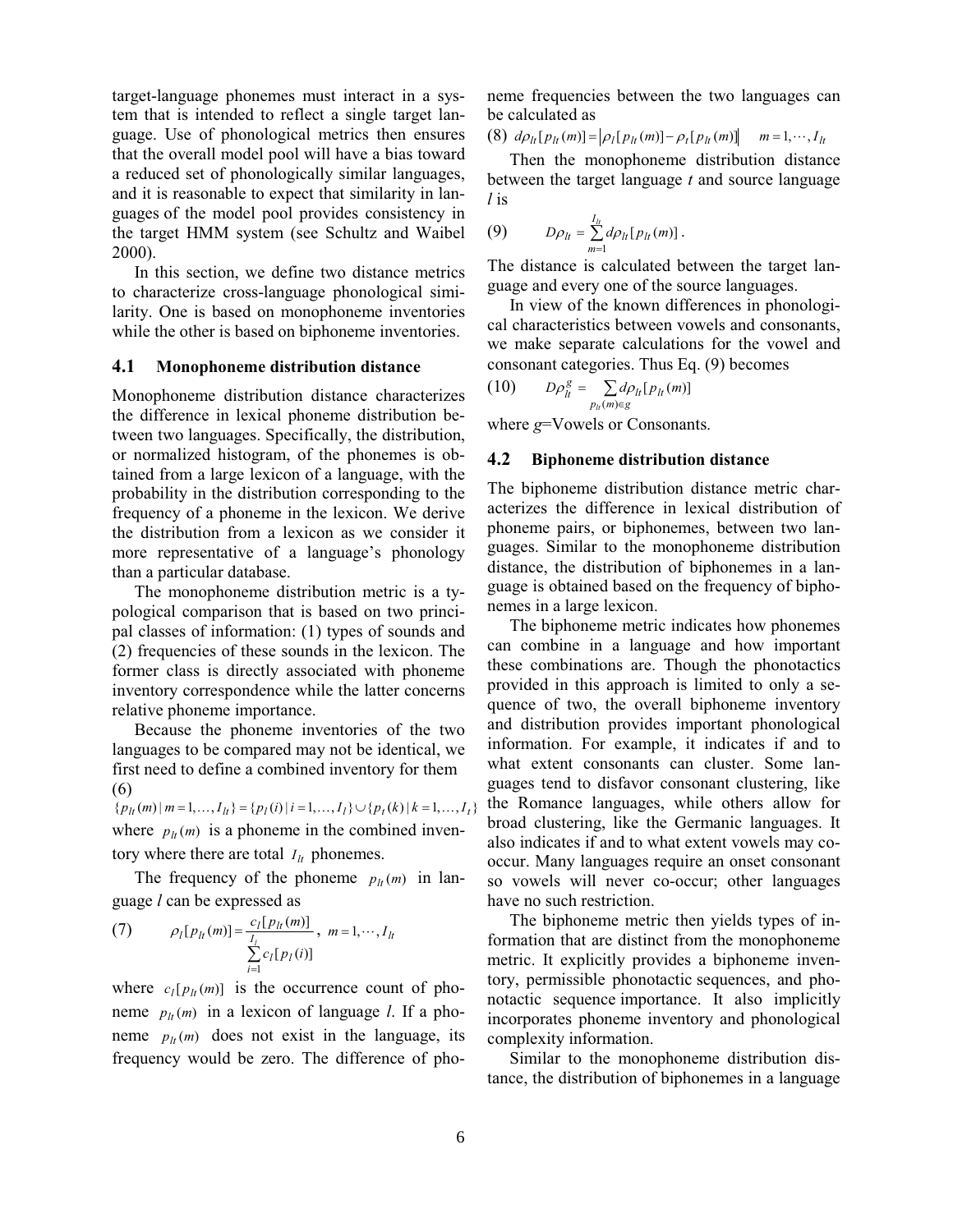target-language phonemes must interact in a system that is intended to reflect a single target language. Use of phonological metrics then ensures that the overall model pool will have a bias toward a reduced set of phonologically similar languages, and it is reasonable to expect that similarity in languages of the model pool provides consistency in the target HMM system (see Schultz and Waibel 2000).

In this section, we define two distance metrics to characterize cross-language phonological similarity. One is based on monophoneme inventories while the other is based on biphoneme inventories.

#### 4.1 Monophoneme distribution distance

Monophoneme distribution distance characterizes the difference in lexical phoneme distribution between two languages. Specifically, the distribution, or normalized histogram, of the phonemes is obtained from a large lexicon of a language, with the probability in the distribution corresponding to the frequency of a phoneme in the lexicon. We derive the distribution from a lexicon as we consider it more representative of a language's phonology than a particular database.

The monophoneme distribution metric is a typological comparison that is based on two principal classes of information: (1) types of sounds and (2) frequencies of these sounds in the lexicon. The former class is directly associated with phoneme inventory correspondence while the latter concerns relative phoneme importance.

Because the phoneme inventories of the two languages to be compared may not be identical, we first need to define a combined inventory for them (6)

 ${p_l(m) \mid m = 1, ..., I_l} = {p_l(i) \mid i = 1, ..., I_l} \cup {p_l(k) \mid k = 1, ..., I_l}$ where  $p_{lt}(m)$  is a phoneme in the combined inventory where there are total  $I_{lt}$  phonemes.

The frequency of the phoneme  $p_{lt}(m)$  in language l can be expressed as

(7) 
$$
\rho_l[p_{lt}(m)] = \frac{c_l[p_{lt}(m)]}{\sum_{i=1}^{I_l} c_l[p_l(i)]}, m = 1, \cdots, I_{lt}
$$

where  $c_l[p_h(m)]$  is the occurrence count of phoneme  $p_h(m)$  in a lexicon of language l. If a phoneme  $p_{lt}(m)$  does not exist in the language, its frequency would be zero. The difference of phoneme frequencies between the two languages can be calculated as

(8)  $d\rho_{lt}[p_{lt}(m)] = |\rho_l[p_{lt}(m)] - \rho_t[p_{lt}(m)]$   $m = 1, \dots, I_{lt}$ 

Then the monophoneme distribution distance between the target language  $t$  and source language l is

(9) 
$$
D\rho_{lt} = \sum_{m=1}^{I_{lt}} d\rho_{lt}[p_{lt}(m)] .
$$

The distance is calculated between the target language and every one of the source languages.

In view of the known differences in phonological characteristics between vowels and consonants, we make separate calculations for the vowel and consonant categories. Thus Eq. (9) becomes

$$
(10) \t D\rho_{lt}^g = \sum_{p_{lt}(m) \in g} d\rho_{lt}[p_{lt}(m)]
$$

where  $g$ =Vowels or Consonants.

#### 4.2 Biphoneme distribution distance

The biphoneme distribution distance metric characterizes the difference in lexical distribution of phoneme pairs, or biphonemes, between two languages. Similar to the monophoneme distribution distance, the distribution of biphonemes in a language is obtained based on the frequency of biphonemes in a large lexicon.

The biphoneme metric indicates how phonemes can combine in a language and how important these combinations are. Though the phonotactics provided in this approach is limited to only a sequence of two, the overall biphoneme inventory and distribution provides important phonological information. For example, it indicates if and to what extent consonants can cluster. Some languages tend to disfavor consonant clustering, like the Romance languages, while others allow for broad clustering, like the Germanic languages. It also indicates if and to what extent vowels may cooccur. Many languages require an onset consonant so vowels will never co-occur; other languages have no such restriction.

The biphoneme metric then yields types of information that are distinct from the monophoneme metric. It explicitly provides a biphoneme inventory, permissible phonotactic sequences, and phonotactic sequence importance. It also implicitly incorporates phoneme inventory and phonological complexity information.

Similar to the monophoneme distribution distance, the distribution of biphonemes in a language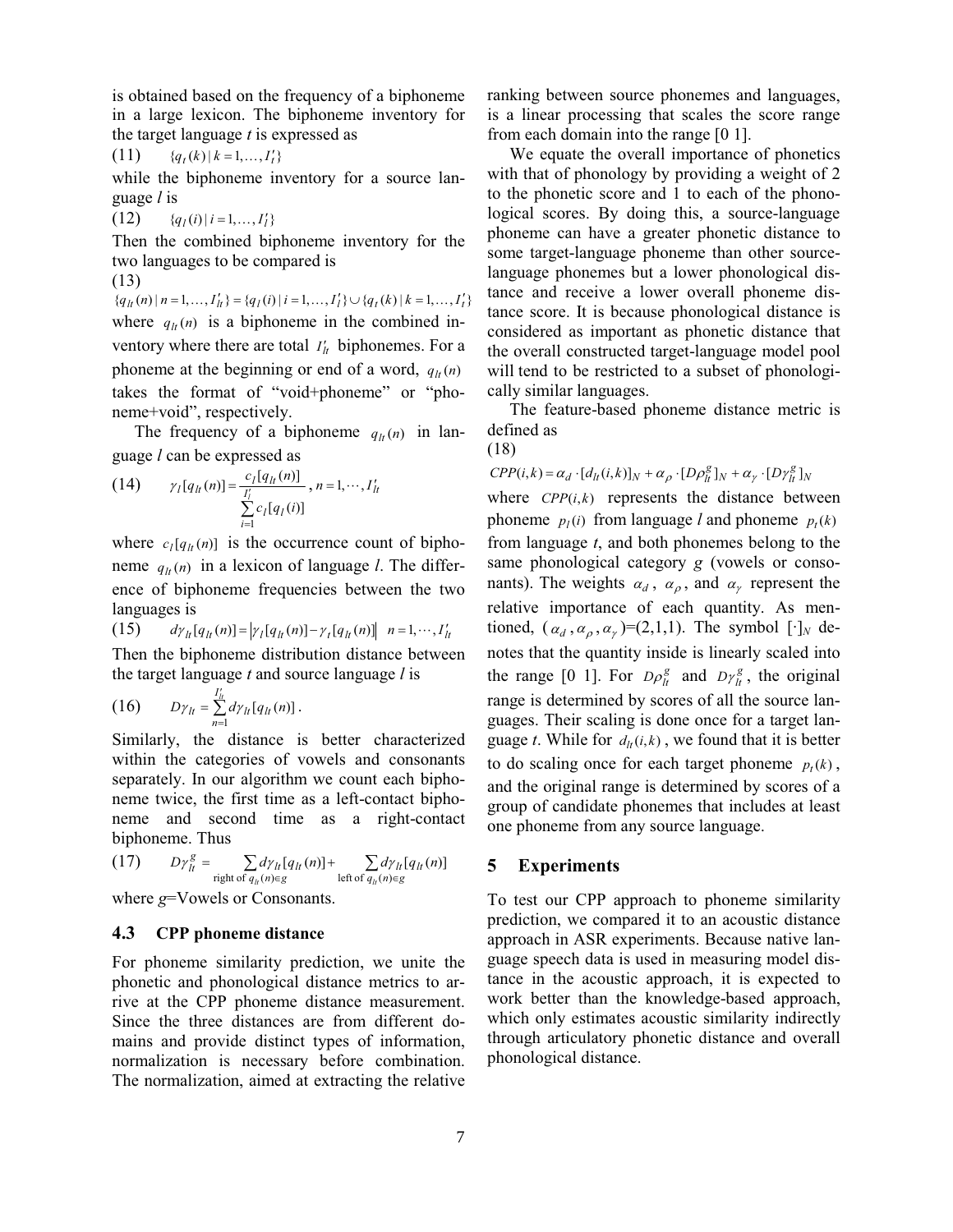is obtained based on the frequency of a biphoneme in a large lexicon. The biphoneme inventory for the target language  $t$  is expressed as

$$
(11) \t {q_t(k) | k = 1,..., I'_t}
$$

while the biphoneme inventory for a source language l is

(12) {  ${q_l(i) | i = 1, ..., I'_l}$ 

Then the combined biphoneme inventory for the two languages to be compared is

(13)  ${q_{lt}(n) \mid n = 1, ..., I'_{lt}} = {q_l(i) \mid i = 1, ..., I'_l} \cup {q_t(k) \mid k = 1, ..., I'_t}$ where  $q_{it}(n)$  is a biphoneme in the combined inventory where there are total  $I'_t$  biphonemes. For a phoneme at the beginning or end of a word,  $q_h(n)$ takes the format of "void+phoneme" or "phoneme+void", respectively.

The frequency of a biphoneme  $q_{lt}(n)$  in language l can be expressed as

(14) 
$$
\gamma_l[q_{lt}(n)] = \frac{c_l[q_{lt}(n)]}{\sum_{i=1}^{l'_l} c_l[q_l(i)]}, n = 1, \cdots, I'_{lt}
$$

where  $c_l[q_{lt}(n)]$  is the occurrence count of biphoneme  $q_h(n)$  in a lexicon of language l. The difference of biphoneme frequencies between the two languages is

(15)  $d\gamma_{lt}[q_{lt}(n)] = |\gamma_l[q_{lt}(n)] - \gamma_t[q_{lt}(n)]|$   $n = 1, \dots, I'_{lt}$ Then the biphoneme distribution distance between the target language  $t$  and source language  $l$  is

$$
(16) \tD\gamma_{lt} = \sum_{n=1}^{I_{lt}'} d\gamma_{lt}[q_{lt}(n)] .
$$

Similarly, the distance is better characterized within the categories of vowels and consonants separately. In our algorithm we count each biphoneme twice, the first time as a left-contact biphoneme and second time as a right-contact biphoneme. Thus

(17) 
$$
D\gamma_{lt}^g = \sum_{\text{right of }q_{lt}(n)\in g} d\gamma_{lt}[q_{lt}(n)] + \sum_{\text{left of }q_{lt}(n)\in g} d\gamma_{lt}[q_{lt}(n)]
$$

where  $g=V$ owels or Consonants.

## 4.3 CPP phoneme distance

For phoneme similarity prediction, we unite the phonetic and phonological distance metrics to arrive at the CPP phoneme distance measurement. Since the three distances are from different domains and provide distinct types of information, normalization is necessary before combination. The normalization, aimed at extracting the relative

ranking between source phonemes and languages, is a linear processing that scales the score range from each domain into the range [0 1].

We equate the overall importance of phonetics with that of phonology by providing a weight of 2 to the phonetic score and 1 to each of the phonological scores. By doing this, a source-language phoneme can have a greater phonetic distance to some target-language phoneme than other sourcelanguage phonemes but a lower phonological distance and receive a lower overall phoneme distance score. It is because phonological distance is considered as important as phonetic distance that the overall constructed target-language model pool will tend to be restricted to a subset of phonologically similar languages.

The feature-based phoneme distance metric is defined as

(18)

 $CPP(i,k) = \alpha_d \cdot [d_{lt}(i,k)]_N + \alpha_\rho \cdot [D\rho_{lt}^g]_N + \alpha_\gamma \cdot [D\gamma_{lt}^g]_N$ 

where  $CPP(i,k)$  represents the distance between phoneme  $p_l(i)$  from language l and phoneme  $p_l(k)$ from language  $t$ , and both phonemes belong to the same phonological category g (vowels or consonants). The weights  $\alpha_d$ ,  $\alpha_\rho$ , and  $\alpha_\gamma$  represent the relative importance of each quantity. As mentioned,  $(\alpha_d, \alpha_p, \alpha_\gamma) = (2,1,1)$ . The symbol  $[\cdot]_N$  denotes that the quantity inside is linearly scaled into the range [0 1]. For  $D \rho_h^g$  and  $D \gamma_h^g$ , the original range is determined by scores of all the source languages. Their scaling is done once for a target language t. While for  $d_{lt}(i, k)$ , we found that it is better to do scaling once for each target phoneme  $p_t(k)$ , and the original range is determined by scores of a group of candidate phonemes that includes at least one phoneme from any source language.

## 5 Experiments

To test our CPP approach to phoneme similarity prediction, we compared it to an acoustic distance approach in ASR experiments. Because native language speech data is used in measuring model distance in the acoustic approach, it is expected to work better than the knowledge-based approach, which only estimates acoustic similarity indirectly through articulatory phonetic distance and overall phonological distance.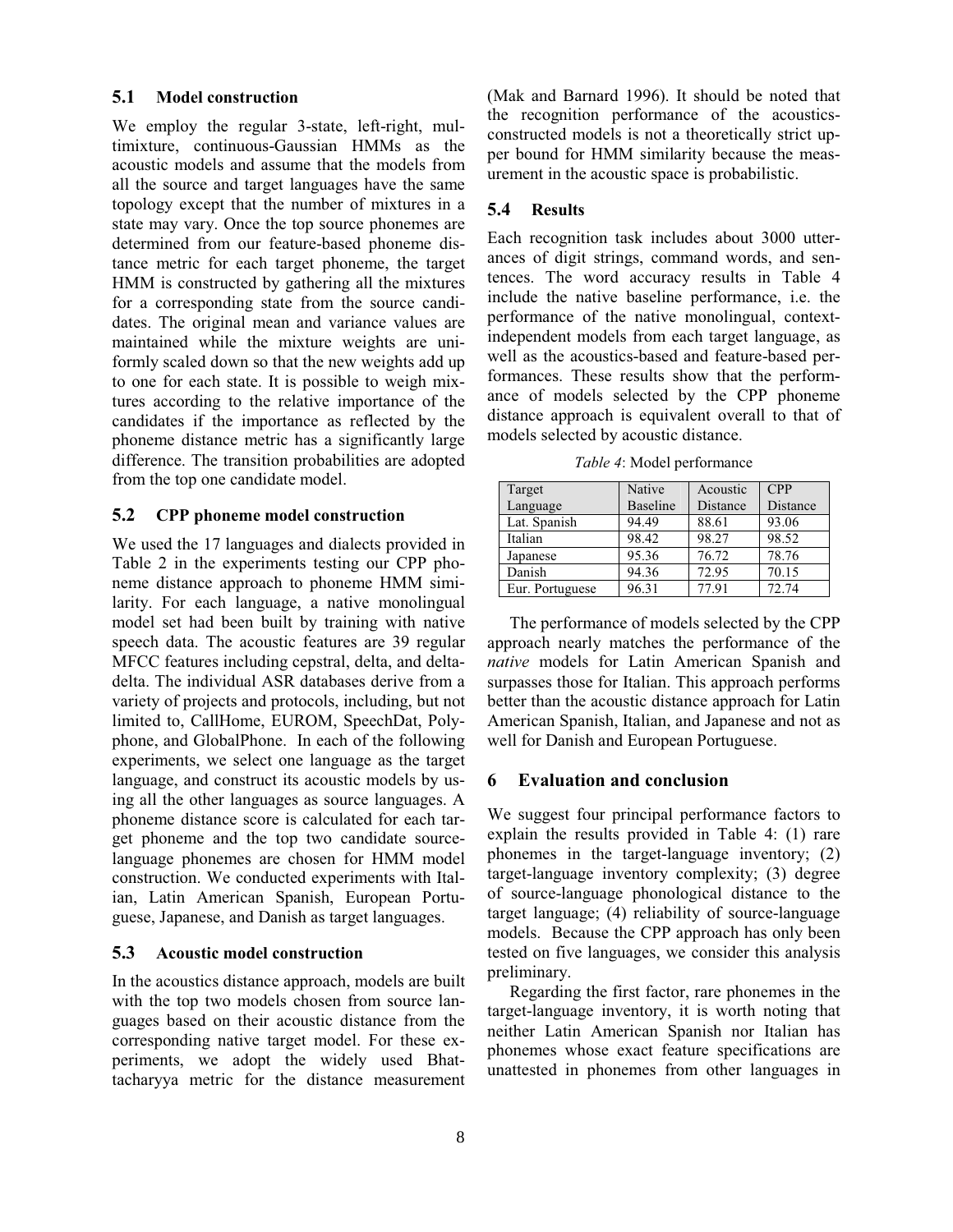# 5.1 Model construction

We employ the regular 3-state, left-right, multimixture, continuous-Gaussian HMMs as the acoustic models and assume that the models from all the source and target languages have the same topology except that the number of mixtures in a state may vary. Once the top source phonemes are determined from our feature-based phoneme distance metric for each target phoneme, the target HMM is constructed by gathering all the mixtures for a corresponding state from the source candidates. The original mean and variance values are maintained while the mixture weights are uniformly scaled down so that the new weights add up to one for each state. It is possible to weigh mixtures according to the relative importance of the candidates if the importance as reflected by the phoneme distance metric has a significantly large difference. The transition probabilities are adopted from the top one candidate model.

#### 5.2 CPP phoneme model construction

We used the 17 languages and dialects provided in Table 2 in the experiments testing our CPP phoneme distance approach to phoneme HMM similarity. For each language, a native monolingual model set had been built by training with native speech data. The acoustic features are 39 regular MFCC features including cepstral, delta, and deltadelta. The individual ASR databases derive from a variety of projects and protocols, including, but not limited to, CallHome, EUROM, SpeechDat, Polyphone, and GlobalPhone. In each of the following experiments, we select one language as the target language, and construct its acoustic models by using all the other languages as source languages. A phoneme distance score is calculated for each target phoneme and the top two candidate sourcelanguage phonemes are chosen for HMM model construction. We conducted experiments with Italian, Latin American Spanish, European Portuguese, Japanese, and Danish as target languages.

## 5.3 Acoustic model construction

In the acoustics distance approach, models are built with the top two models chosen from source languages based on their acoustic distance from the corresponding native target model. For these experiments, we adopt the widely used Bhattacharyya metric for the distance measurement (Mak and Barnard 1996). It should be noted that the recognition performance of the acousticsconstructed models is not a theoretically strict upper bound for HMM similarity because the measurement in the acoustic space is probabilistic.

## 5.4 Results

Each recognition task includes about 3000 utterances of digit strings, command words, and sentences. The word accuracy results in Table 4 include the native baseline performance, i.e. the performance of the native monolingual, contextindependent models from each target language, as well as the acoustics-based and feature-based performances. These results show that the performance of models selected by the CPP phoneme distance approach is equivalent overall to that of models selected by acoustic distance.

Table 4: Model performance

| Target          | Native          | Acoustic | <b>CPP</b> |
|-----------------|-----------------|----------|------------|
| Language        | <b>Baseline</b> | Distance | Distance   |
| Lat. Spanish    | 94.49           | 88.61    | 93.06      |
| Italian         | 98.42           | 98.27    | 98.52      |
| Japanese        | 95.36           | 76.72    | 78.76      |
| Danish          | 94.36           | 72.95    | 70.15      |
| Eur. Portuguese | 96.31           | 77.91    | 72.74      |

The performance of models selected by the CPP approach nearly matches the performance of the native models for Latin American Spanish and surpasses those for Italian. This approach performs better than the acoustic distance approach for Latin American Spanish, Italian, and Japanese and not as well for Danish and European Portuguese.

#### 6 Evaluation and conclusion

We suggest four principal performance factors to explain the results provided in Table 4: (1) rare phonemes in the target-language inventory; (2) target-language inventory complexity; (3) degree of source-language phonological distance to the target language; (4) reliability of source-language models. Because the CPP approach has only been tested on five languages, we consider this analysis preliminary.

Regarding the first factor, rare phonemes in the target-language inventory, it is worth noting that neither Latin American Spanish nor Italian has phonemes whose exact feature specifications are unattested in phonemes from other languages in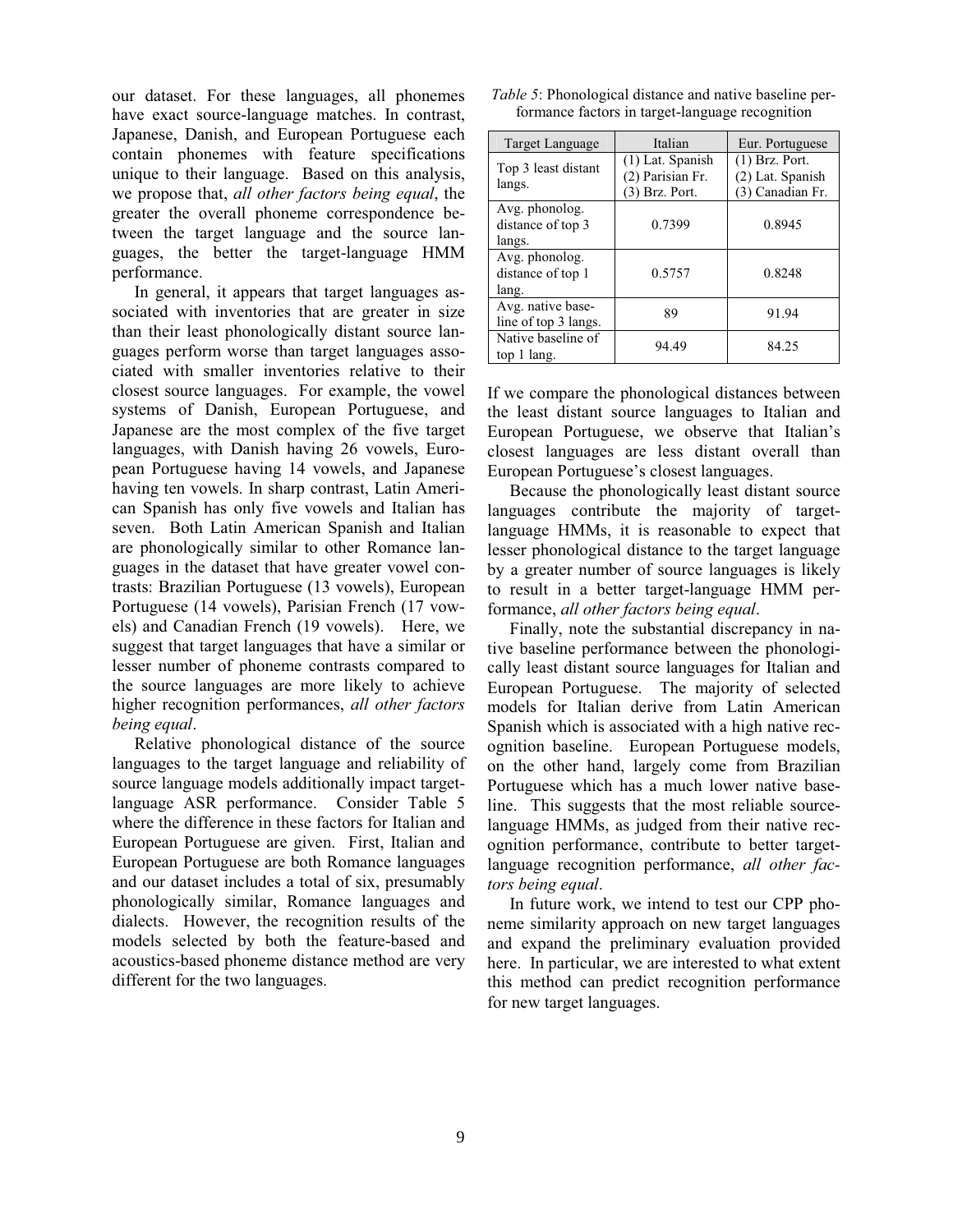our dataset. For these languages, all phonemes have exact source-language matches. In contrast, Japanese, Danish, and European Portuguese each contain phonemes with feature specifications unique to their language. Based on this analysis, we propose that, all other factors being equal, the greater the overall phoneme correspondence between the target language and the source languages, the better the target-language HMM performance.

In general, it appears that target languages associated with inventories that are greater in size than their least phonologically distant source languages perform worse than target languages associated with smaller inventories relative to their closest source languages. For example, the vowel systems of Danish, European Portuguese, and Japanese are the most complex of the five target languages, with Danish having 26 vowels, European Portuguese having 14 vowels, and Japanese having ten vowels. In sharp contrast, Latin American Spanish has only five vowels and Italian has seven. Both Latin American Spanish and Italian are phonologically similar to other Romance languages in the dataset that have greater vowel contrasts: Brazilian Portuguese (13 vowels), European Portuguese (14 vowels), Parisian French (17 vowels) and Canadian French (19 vowels). Here, we suggest that target languages that have a similar or lesser number of phoneme contrasts compared to the source languages are more likely to achieve higher recognition performances, all other factors being equal.

Relative phonological distance of the source languages to the target language and reliability of source language models additionally impact targetlanguage ASR performance. Consider Table 5 where the difference in these factors for Italian and European Portuguese are given. First, Italian and European Portuguese are both Romance languages and our dataset includes a total of six, presumably phonologically similar, Romance languages and dialects. However, the recognition results of the models selected by both the feature-based and acoustics-based phoneme distance method are very different for the two languages.

| <i>Table 5:</i> Phonological distance and native baseline per- |  |
|----------------------------------------------------------------|--|
| formance factors in target-language recognition                |  |

| Target Language                               | Italian                                                  | Eur. Portuguese                                          |
|-----------------------------------------------|----------------------------------------------------------|----------------------------------------------------------|
| Top 3 least distant<br>langs.                 | $(1)$ Lat. Spanish<br>(2) Parisian Fr.<br>(3) Brz. Port. | $(1)$ Brz. Port.<br>(2) Lat. Spanish<br>(3) Canadian Fr. |
| Avg. phonolog.<br>distance of top 3<br>langs. | 0.7399                                                   | 0.8945                                                   |
| Avg. phonolog.<br>distance of top 1<br>lang.  | 0.5757                                                   | 0.8248                                                   |
| Avg. native base-<br>line of top 3 langs.     | 89                                                       | 91.94                                                    |
| Native baseline of<br>top 1 lang.             | 94.49                                                    | 84.25                                                    |

If we compare the phonological distances between the least distant source languages to Italian and European Portuguese, we observe that Italian's closest languages are less distant overall than European Portuguese's closest languages.

Because the phonologically least distant source languages contribute the majority of targetlanguage HMMs, it is reasonable to expect that lesser phonological distance to the target language by a greater number of source languages is likely to result in a better target-language HMM performance, all other factors being equal.

Finally, note the substantial discrepancy in native baseline performance between the phonologically least distant source languages for Italian and European Portuguese. The majority of selected models for Italian derive from Latin American Spanish which is associated with a high native recognition baseline. European Portuguese models, on the other hand, largely come from Brazilian Portuguese which has a much lower native baseline. This suggests that the most reliable sourcelanguage HMMs, as judged from their native recognition performance, contribute to better targetlanguage recognition performance, all other factors being equal.

In future work, we intend to test our CPP phoneme similarity approach on new target languages and expand the preliminary evaluation provided here. In particular, we are interested to what extent this method can predict recognition performance for new target languages.